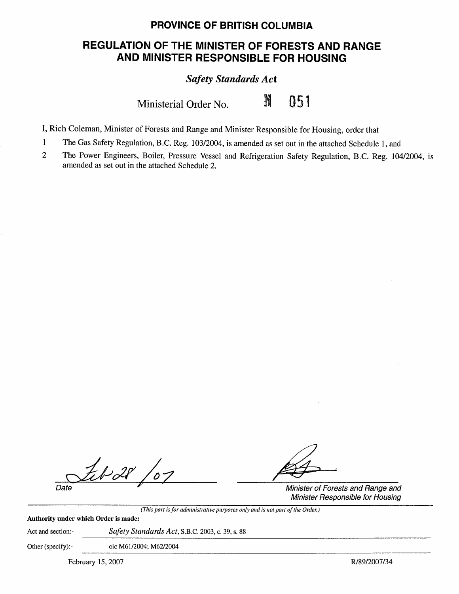## **PROVINCE OF BRITISH COLUMBIA**

# **REGULATION OF THE MINISTER OF FORESTS AND RANGE AND MINISTER RESPONSIBLE FOR HOUSING**

*Safety Standards Act* 

Ministerial Order No. 11 051

I, Rich Coleman, Minister of Forests and Range and Minister Responsible for Housing, order that

- 1 The Gas Safety Regulation, B.C. Reg. 103/2004, is amended as set out in the attached Schedule 1, and
- 2 The Power Engineers, Boiler, Pressure Vessel and Refrigeration Safety Regulation, B.C. Reg. 104/2004, is amended as set out in the attached Schedule 2.

 $\frac{f_t \cancel{v}^2}{\text{Date}}$   $\frac{f^2}{\text{Minister of Forests and Range and}}$ 

Minister Responsible for Housing

*(This part is for administrative purposes only and is not part of the Order.)* 

**Authority under which Order is made:** 

Act and section:- *Safety Standards Act,* S.B.C. 2003, c. 39, s. 88

Other (specify):- oic M61/2004; M62/2004

February 15, 2007 **R/89/2007/34**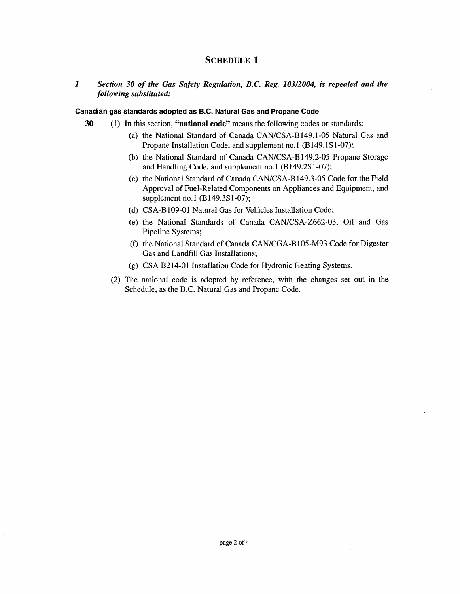## **SCHEDULE 1**

## *1 Section 30 of the Gas Safety Regulation, B.C. Reg. 103/2004, is repealed and the following substituted:*

#### **Canadian gas standards adopted as B.C. Natural Gas and Propane Code**

- **30** ( 1) In this section, **"national code"** means the following codes or standards:
	- (a) the National Standard of Canada CAN/CSA-B149.1-05 Natural Gas and Propane Installation Code, and supplement no.1 (B149.1S1-07);
	- (b) the National Standard of Canada CAN/CSA-B 149.2-05 Propane Storage and Handling Code, and supplement no.I (B149.2S1-07);
	- ( c) the National Standard of Canada CAN/CSA-B 149 .3-05 Code for the Field Approval of Fuel-Related Components on Appliances and Equipment, and supplement no.1 (B149.3S1-07);
	- (d) CSA-B109-01 Natural Gas for Vehicles Installation Code;
	- (e) the National Standards of Canada CAN/CSA-2662-03, Oil and Gas Pipeline Systems;
	- (f) the National Standard of Canada CAN/CGA-Bl05-M93 Code for Digester Gas and Landfill Gas Installations;
	- (g) CSA B214-01 Installation Code for Hydronic Heating Systems.
	- (2) The national code is adopted by reference, with the changes set out in the Schedule, as the B.C. Natural Gas and Propane Code.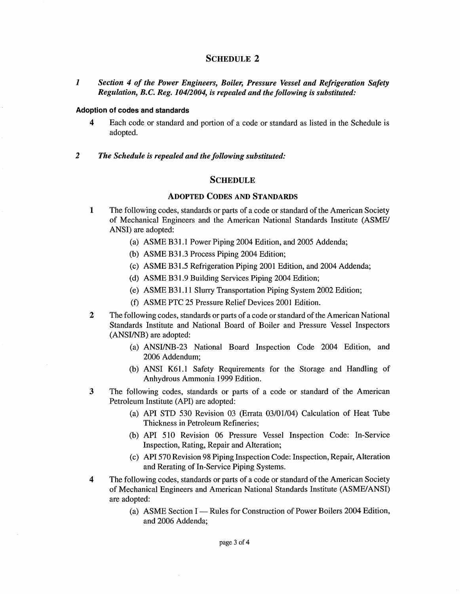## SCHEDULE 2

*1 Section 4 of the Power Engineers, Boiler, Pressure Vessel and Refrigeration Safety Regulation, B.C. Reg. 104/2004, is repealed and the following is substituted:* 

#### **Adoption of codes and standards**

- **4** Each code or standard and portion of a code or standard as listed in the Schedule is adopted.
- *2 The Schedule is repealed and the following substituted:*

## **SCHEDULE**

#### **ADOPTED CODES AND STANDARDS**

- **1** The following codes, standards or parts of a code or standard of the American Society of Mechanical Engineers and the American National Standards Institute (ASME/ ANSI) are adopted:
	- (a) ASME B31.1 Power Piping 2004 Edition, and 2005 Addenda;
	- (b) ASME B31.3 Process Piping  $2004$  Edition;
	- (c) ASME B31.5 Refrigeration Piping 2001 Edition, and 2004 Addenda;
	- (d) ASME B31.9 Building Services Piping 2004 Edition;
	- (e) ASME B31.11 Slurry Transportation Piping System 2002 Edition;
	- (f) ASME PTC 25 Pressure Relief Devices 2001 Edition.
- **2** The following codes, standards or parts of a code or standard of the American National Standards Institute and National Board of Boiler and Pressure Vessel Inspectors (ANSI/NB) are adopted:
	- (a) ANSI/NB-23 National Board Inspection Code 2004 Edition, and 2006 Addendum;
	- (b) ANSI K61.1 Safety Requirements for the Storage and Handling of Anhydrous Ammonia 1999 Edition.
- **3** The following codes, standards or parts of a code or standard of the American Petroleum Institute (API) are adopted:
	- (a) API STD 530 Revision 03 (Errata 03/01/04) Calculation of Heat Tube Thickness in Petroleum Refineries;
	- (b) API 510 Revision 06 Pressure Vessel Inspection Code: In-Service Inspection, Rating, Repair and Alteration;
	- (c) API 570 Revision 98 Piping Inspection Code: Inspection, Repair, Alteration and Rerating of In-Service Piping Systems.
- **4** The following codes, standards or parts of a code or standard of the American Society of Mechanical Engineers and American National Standards Institute (ASME/ANSI) are adopted:
	- (a) ASME Section I Rules for Construction of Power Boilers 2004 Edition, and 2006 Addenda;